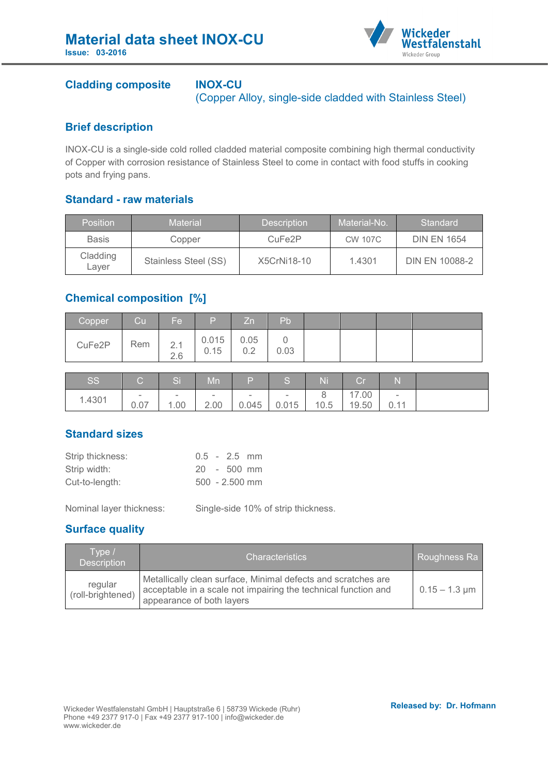

## **Cladding composite INOX-CU**

(Copper Alloy, single-side cladded with Stainless Steel)

### **Brief description**

INOX-CU is a single-side cold rolled cladded material composite combining high thermal conductivity of Copper with corrosion resistance of Stainless Steel to come in contact with food stuffs in cooking pots and frying pans.

## **Standard - raw materials**

| <b>Position</b>   | <b>Material</b>      | <b>Description</b>  | Material-No.   | Standard              |
|-------------------|----------------------|---------------------|----------------|-----------------------|
| <b>Basis</b>      | Copper               | CuFe <sub>2</sub> P | <b>CW 107C</b> | <b>DIN EN 1654</b>    |
| Cladding<br>Laver | Stainless Steel (SS) | X5CrNi18-10         | 1.4301         | <b>DIN EN 10088-2</b> |

# **Chemical composition [%]**

| Copper | Cu' | Fe.        | $\mathsf{P}$  | <b>Zn</b>   | Pb   |  |  |
|--------|-----|------------|---------------|-------------|------|--|--|
| CuFe2P | Rem | 2.1<br>2.6 | 0.015<br>0.15 | 0.05<br>∪.∠ | 0.03 |  |  |

| SS     | $\sim$ | $\sim$ | M <sub>n</sub> | ID.    | TO.                      | Ni   | <b>Corporation</b> |                          |  |
|--------|--------|--------|----------------|--------|--------------------------|------|--------------------|--------------------------|--|
|        | $\sim$ | $\sim$ | -              | $\sim$ | $\overline{\phantom{a}}$ |      | 17.00              | $\overline{\phantom{a}}$ |  |
| 1.4301 | 0.07   | 1.00   | 2.00           | 0.045  | 0.015                    | 10.5 | 19.50              | 0.11                     |  |

#### **Standard sizes**

| Strip thickness: |  | $0.5 - 2.5$ mm   |  |
|------------------|--|------------------|--|
| Strip width:     |  | $20 - 500$ mm    |  |
| Cut-to-length:   |  | $500 - 2.500$ mm |  |

Nominal layer thickness: Single-side 10% of strip thickness.

# **Surface quality**

| lTvpe /ˈ<br><b>Description</b> | <b>Characteristics</b>                                                                                                                                       | Roughness Ra                  |
|--------------------------------|--------------------------------------------------------------------------------------------------------------------------------------------------------------|-------------------------------|
| regular<br>(roll-brightened)   | Metallically clean surface, Minimal defects and scratches are<br>acceptable in a scale not impairing the technical function and<br>appearance of both layers | $0.15 - 1.3 \,\mathrm{\mu m}$ |